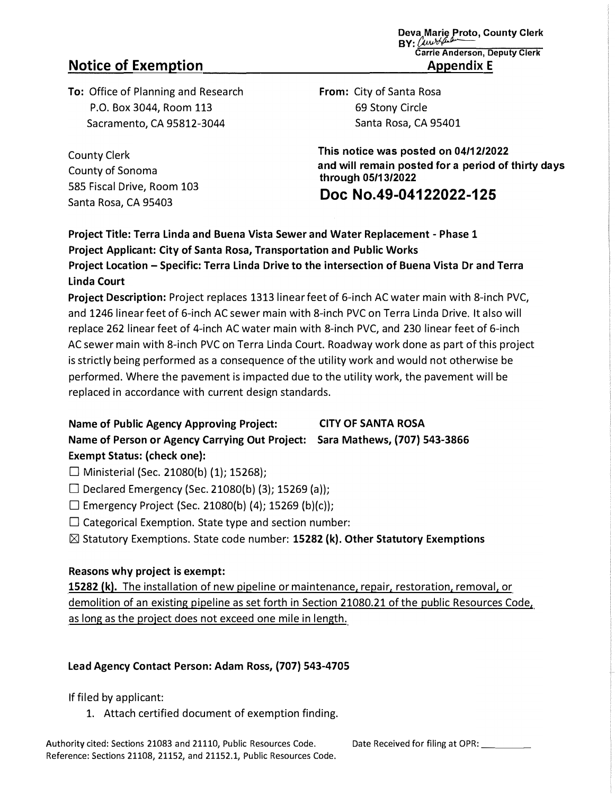# **Notice of Exemption**

**To:** Office of Planning and Research P.O. Box 3044, Room 113 Sacramento, CA 95812-3044

County Clerk County of Sonoma 585 Fiscal Drive, Room 103 Santa Rosa, CA 95403

**Deva Marie Proto, County Clerk BY:** Carron Campbell **Carrie Anderson, Deputy Clerk Appendix E** 

**From:** City of Santa Rosa 69 Stony Circle Santa Rosa, CA 95401

**This notice was posted on 04/12/2022 and will remain posted for a period of thirty days through 05/13/2022** 

**Doc No.49-04122022-125** 

**Project Title: Terra Linda and Buena Vista Sewer and Water Replacement - Phase 1 Project Applicant: City of Santa Rosa, Transportation and Public Works Project Location - Specific: Terra Linda Drive to the intersection of Buena Vista Dr and Terra Linda Court** 

**Project Description:** Project replaces 1313 linear feet of 6-inch AC water main with 8-inch PVC, and 1246 linear feet of 6-inch AC sewer main with 8-inch PVC on Terra Linda Drive. It also will replace 262 linear feet of 4-inch AC water main with 8-inch PVC, and 230 linear feet of 6-inch AC sewer main with 8-inch PVC on Terra Linda Court. Roadway work done as part of this project is strictly being performed as a consequence of the utility work and would not otherwise be performed. Where the pavement is impacted due to the utility work, the pavement will be replaced in accordance with current design standards.

**Name of Public Agency Approving Project: CITY OF SANTA ROSA Name of Person or Agency Carrying Out Project: Sara Mathews, (707) 543-3866 Exempt Status: (check one):** 

 $\Box$  Ministerial (Sec. 21080(b) (1); 15268);

 $\Box$  Declared Emergency (Sec. 21080(b) (3); 15269 (a));

 $\Box$  Emergency Project (Sec. 21080(b) (4); 15269 (b)(c));

 $\square$  Categorical Exemption. State type and section number:

**IZI** Statutory Exemptions. State code number: **15282 (k). Other Statutory Exemptions**

### **Reasons why project is exempt:**

**15282 (k).** The installation of new pipeline or maintenance, repair, restoration, removal, or demolition of an existing pipeline as set forth in Section 21080.21 of the public Resources Code, as long as the project does not exceed one mile in length.

## **Lead Agency Contact Person: Adam Ross, (707) 543-4705**

If filed by applicant:

1. Attach certified document of exemption finding.

Authority cited: Sections 21083 and 21110, Public Resources Code. Date Received for filing at OPR: Reference: Sections 21108, 21152, and 21152.1, Public Resources Code.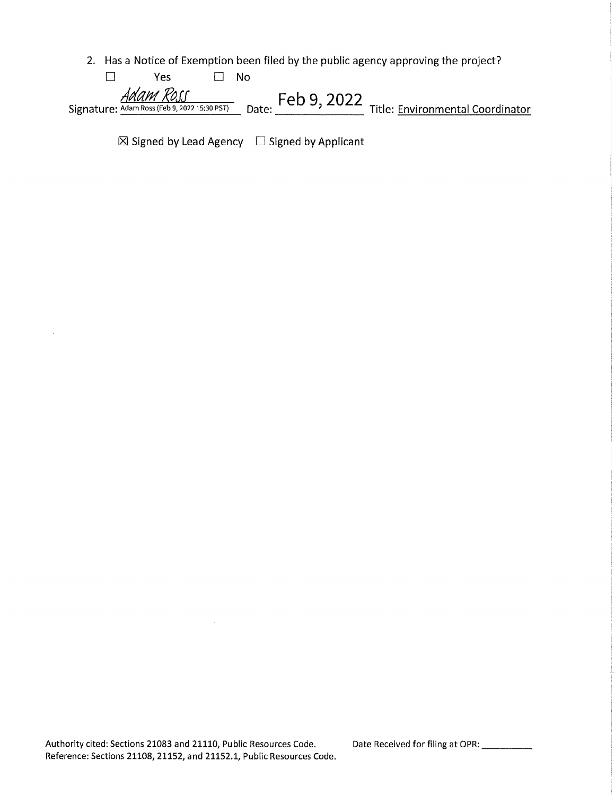2. Has a Notice of Exemption been filed by the public agency approving the project?

| ∨≏с                                          | Nο    |             |                                  |
|----------------------------------------------|-------|-------------|----------------------------------|
| Adam Ross                                    |       | Feb 9, 2022 |                                  |
| Signature: Adam Ross (Feb 9, 2022 15:30 PST) | Date: |             | Title: Environmental Coordinator |

 $\boxtimes$  Signed by Lead Agency  $\Box$  Signed by Applicant

 $\bar{z}$ 

Date Received for filing at OPR: \_\_\_\_\_\_\_\_\_\_\_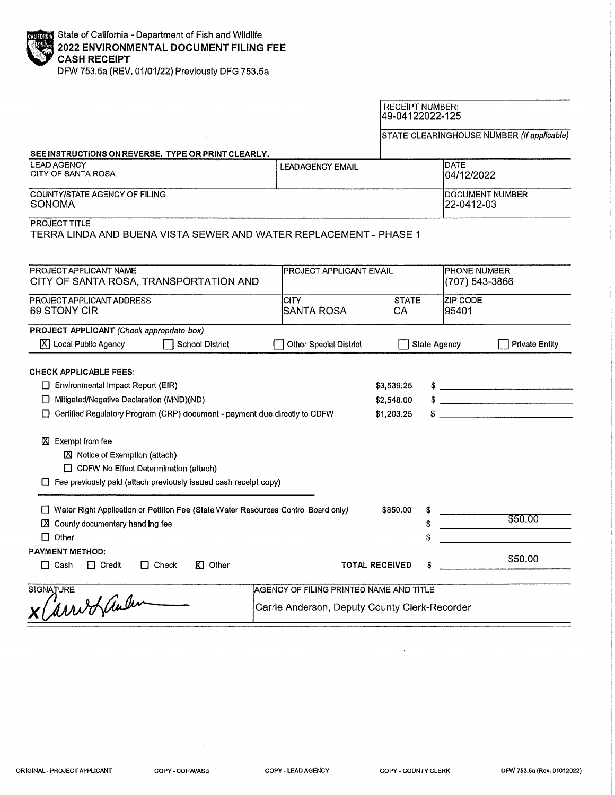|                                                                                                                                                                                                                                                                                                                                                                                              |                                         | <b>RECEIPT NUMBER:</b><br>49-04122022-125 |                               |                                                                                                                                                                                                                                                                                                                                      |  |
|----------------------------------------------------------------------------------------------------------------------------------------------------------------------------------------------------------------------------------------------------------------------------------------------------------------------------------------------------------------------------------------------|-----------------------------------------|-------------------------------------------|-------------------------------|--------------------------------------------------------------------------------------------------------------------------------------------------------------------------------------------------------------------------------------------------------------------------------------------------------------------------------------|--|
|                                                                                                                                                                                                                                                                                                                                                                                              |                                         |                                           |                               | STATE CLEARINGHOUSE NUMBER (If applicable)                                                                                                                                                                                                                                                                                           |  |
| SEE INSTRUCTIONS ON REVERSE. TYPE OR PRINT CLEARLY.                                                                                                                                                                                                                                                                                                                                          |                                         |                                           |                               |                                                                                                                                                                                                                                                                                                                                      |  |
| <b>LEAD AGENCY</b><br><b>CITY OF SANTA ROSA</b>                                                                                                                                                                                                                                                                                                                                              | <b>LEADAGENCY EMAIL</b>                 |                                           | <b>DATE</b><br>04/12/2022     |                                                                                                                                                                                                                                                                                                                                      |  |
| COUNTY/STATE AGENCY OF FILING<br>SONOMA                                                                                                                                                                                                                                                                                                                                                      |                                         |                                           | DOCUMENT NUMBER<br>22-0412-03 |                                                                                                                                                                                                                                                                                                                                      |  |
| PROJECT TITLE<br>TERRA LINDA AND BUENA VISTA SEWER AND WATER REPLACEMENT - PHASE 1                                                                                                                                                                                                                                                                                                           |                                         |                                           |                               |                                                                                                                                                                                                                                                                                                                                      |  |
| PROJECT APPLICANT NAME<br>CITY OF SANTA ROSA, TRANSPORTATION AND                                                                                                                                                                                                                                                                                                                             | <b>PROJECT APPLICANT EMAIL</b>          | <b>PHONE NUMBER</b><br>(707) 543-3866     |                               |                                                                                                                                                                                                                                                                                                                                      |  |
| PROJECT APPLICANT ADDRESS<br>69 STONY CIR                                                                                                                                                                                                                                                                                                                                                    | <b>CITY</b><br><b>SANTA ROSA</b>        | <b>STATE</b><br>CА                        | ZIP CODE<br>95401             |                                                                                                                                                                                                                                                                                                                                      |  |
| PROJECT APPLICANT (Check appropriate box)<br>X   Local Public Agency<br><b>School District</b>                                                                                                                                                                                                                                                                                               | Other Special District                  |                                           | <b>State Agency</b>           | <b>Private Entity</b>                                                                                                                                                                                                                                                                                                                |  |
| <b>CHECK APPLICABLE FEES:</b><br>$\Box$ Environmental Impact Report (EIR)<br>□ Mitigated/Negative Declaration (MND)(ND)<br>□ Certified Regulatory Program (CRP) document - payment due directly to CDFW<br>X Exempt from fee<br><b>EX</b> Notice of Exemption (attach)<br>□ CDFW No Effect Determination (attach)<br>$\Box$ Fee previously paid (attach previously issued cash recelpt copy) |                                         | \$3,539.25<br>\$2,548.00<br>\$1,203.25    |                               | $\frac{1}{2}$ $\frac{1}{2}$ $\frac{1}{2}$ $\frac{1}{2}$ $\frac{1}{2}$ $\frac{1}{2}$ $\frac{1}{2}$ $\frac{1}{2}$ $\frac{1}{2}$ $\frac{1}{2}$ $\frac{1}{2}$ $\frac{1}{2}$ $\frac{1}{2}$ $\frac{1}{2}$ $\frac{1}{2}$ $\frac{1}{2}$ $\frac{1}{2}$ $\frac{1}{2}$ $\frac{1}{2}$ $\frac{1}{2}$ $\frac{1}{2}$ $\frac{1}{2}$<br>$\frac{1}{2}$ |  |
| □ Water Right Application or Petition Fee (State Water Resources Control Board only)<br>X County documentary handling fee<br>$\Box$ Other                                                                                                                                                                                                                                                    |                                         | \$850.00                                  |                               | \$50.00                                                                                                                                                                                                                                                                                                                              |  |
| <b>PAYMENT METHOD:</b><br>$\Box$ Credit<br>$\Box$ Check<br>$K1$ Other<br>$\Box$ Cash                                                                                                                                                                                                                                                                                                         | <b>TOTAL RECEIVED</b>                   |                                           |                               | \$50.00                                                                                                                                                                                                                                                                                                                              |  |
| <b>SIGNATURE</b>                                                                                                                                                                                                                                                                                                                                                                             | AGENCY OF FILING PRINTED NAME AND TITLE |                                           |                               |                                                                                                                                                                                                                                                                                                                                      |  |
| arrio Landen<br>Carrie Anderson, Deputy County Clerk-Recorder                                                                                                                                                                                                                                                                                                                                |                                         |                                           |                               |                                                                                                                                                                                                                                                                                                                                      |  |

COPY - CDFW/ASB

 $\overline{\phantom{a}}$